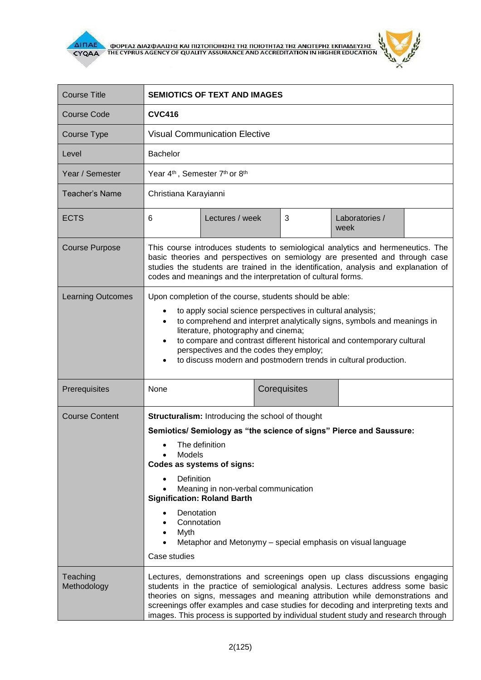

 $\overline{\Delta}$  (MOPEA) ANALO ANALO KALIBET ON THE CYPRUS AGENCY OF QUALITY ASSURANCE AND ACCREDITATION IN HIGHER EDUCATION



| <b>Course Title</b>      | <b>SEMIOTICS OF TEXT AND IMAGES</b>                                                                                                                                                                                                                                                                                                                                                                                                                                         |                 |              |   |                        |  |
|--------------------------|-----------------------------------------------------------------------------------------------------------------------------------------------------------------------------------------------------------------------------------------------------------------------------------------------------------------------------------------------------------------------------------------------------------------------------------------------------------------------------|-----------------|--------------|---|------------------------|--|
| <b>Course Code</b>       | <b>CVC416</b>                                                                                                                                                                                                                                                                                                                                                                                                                                                               |                 |              |   |                        |  |
| Course Type              | <b>Visual Communication Elective</b>                                                                                                                                                                                                                                                                                                                                                                                                                                        |                 |              |   |                        |  |
| Level                    | <b>Bachelor</b>                                                                                                                                                                                                                                                                                                                                                                                                                                                             |                 |              |   |                        |  |
| Year / Semester          | Year 4 <sup>th</sup> , Semester 7 <sup>th</sup> or 8 <sup>th</sup>                                                                                                                                                                                                                                                                                                                                                                                                          |                 |              |   |                        |  |
| Teacher's Name           | Christiana Karayianni                                                                                                                                                                                                                                                                                                                                                                                                                                                       |                 |              |   |                        |  |
| <b>ECTS</b>              | 6                                                                                                                                                                                                                                                                                                                                                                                                                                                                           | Lectures / week |              | 3 | Laboratories /<br>week |  |
| <b>Course Purpose</b>    | This course introduces students to semiological analytics and hermeneutics. The<br>basic theories and perspectives on semiology are presented and through case<br>studies the students are trained in the identification, analysis and explanation of<br>codes and meanings and the interpretation of cultural forms.                                                                                                                                                       |                 |              |   |                        |  |
| <b>Learning Outcomes</b> | Upon completion of the course, students should be able:<br>to apply social science perspectives in cultural analysis;<br>٠<br>to comprehend and interpret analytically signs, symbols and meanings in<br>$\bullet$<br>literature, photography and cinema;<br>to compare and contrast different historical and contemporary cultural<br>$\bullet$<br>perspectives and the codes they employ;<br>to discuss modern and postmodern trends in cultural production.<br>$\bullet$ |                 |              |   |                        |  |
| Prerequisites            | None                                                                                                                                                                                                                                                                                                                                                                                                                                                                        |                 | Corequisites |   |                        |  |
| <b>Course Content</b>    | <b>Structuralism:</b> Introducing the school of thought<br>Semiotics/ Semiology as "the science of signs" Pierce and Saussure:<br>The definition<br>Models<br>Codes as systems of signs:<br>Definition<br>Meaning in non-verbal communication<br><b>Signification: Roland Barth</b><br>Denotation<br>Connotation<br>Myth<br>Metaphor and Metonymy – special emphasis on visual language<br>Case studies                                                                     |                 |              |   |                        |  |
| Teaching<br>Methodology  | Lectures, demonstrations and screenings open up class discussions engaging<br>students in the practice of semiological analysis. Lectures address some basic<br>theories on signs, messages and meaning attribution while demonstrations and<br>screenings offer examples and case studies for decoding and interpreting texts and<br>images. This process is supported by individual student study and research through                                                    |                 |              |   |                        |  |